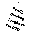

**Revised December 2019**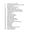- 3 A Spaceman came calling
- 5 All I want for Christmas is another Ukulele<br>7 Auld Lang Syne
- **Auld Lang Syne**
- 9 Do they know it's christmas<br>10 Fairy-tale of New York
- Fairy-tale of New York
- 12 Happy Christmas (War is over)
- 13 I wish it could be Christmas Everyday
- 15 It's Clichéd to be Cynical at Christmas
- 16 Jungle Bell rock
- 18 Let it Snow
- 19 Little Drummer Boy
- 20 Lonely This Christmas
- 22 Mary's Boy Child<br>24 Mele Malikimaka
- 24 Mele Malikimaka<br>26 Merry Xmas Ever
- Merry Xmas Everybody
- 27 Merry Christmas Everyone
- 28 Mistletoe & Wine<br>29 Rockin' Around th
- Rockin' Around the Christmas Tree
- 30 Rockin' Robin<br>32 Silent Night
- 32 Silent Night
- Silver Bells
- 34 Santa Baby
- 35 The Twelve days of Christmas<br>38 When a child is born
- When a child is born
- 39 Winter Wonderland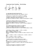**A spaceman Came Travelling Chris De Burg** Am Em F C G



#### Intro: **[Am] / [Em] / [F] / [Am] / [C] / [G] / [F] / / [G] [Am] / [Em] / [F] / [Am] / [C] / [G] / [F] / / / [F] / / [G] [Am] / / / [Am] / / /**

A **[Am]** spaceman came **[C]** travelling on his **[G]** ship from a**[Am]**far,

'Twas **[C]** light years of **[G]** time since his **[F]** mission **/** did **/** start, **[G]** And **[Am]** over a **[Em]** village he **[F]** halted his **[Am]** craft, And it **[C]** hung in the **[G]** sky like a **[F]** star, **/ / / [F]** just **/** like **[G]** a **[Am]** star **/ / / [Am] / / /**

He **[Am]** followed a **[C]** light and **[G]** came down to a **[Am]** shed, Where a **[C]** mother and **[G]** child were lying **[F]** there on a bed, **[G]** A **[Am]** bright light of **[Em]** silver **[F]** shone round his **[Am]** head, And **[C]** he had the **[G]** face of an **[F]** angel, **/ / / [F]** and they **[G]** were af**[Am]**raid **/ / / [Am] / / /**

Then the **[Am]** stranger **[C]** spoke, he **[G]** said "Do not **[Am]** fear, I **[C]** come from a **[G]** planet a **[F]** long way from here, **[G]** And **[Am]** I bring a **[Em]** message for **[F]** mankind to **[Am]** hear," And **[C]** suddenly the **[G]** sweetest **[F]** music **/ / / [F] / /** filled **[G]** the **[Am]** air **/ / / [Am] /**

And **[F]** it **[G]** went: **[Am]** la-, la-la-**[Em]** la-, la-la-**[F]** la-, la-la-**[Am]** la- **[C]** La-, la-la-**[G]** la-, la-la-**[F]** la- **/ / [G] [Am]** La-, la-la-**[Em]** la-, la-la-**[F]** la-, la-la-**[Am]** la- **[C]** Peace and good**[G]**will to all **[F]** men, **/ / / [F] /** and love **[G]** for the **[Am]** child **/ / / [Am] / / [F] [G]**

**[Am]** La-, la-la-**[Em]** la-, la-la-**[F]** la-, la-la-**[Am]** la- **[C]** La-, la-la-**[G]** la-, la-la-**[F]** la- **/ / [G]**

**[Am]** La-, la-la-**[Em]** la-, la-la-**[F]** la-, la-la-**[Am]** la-

**[C]** Aah **/ [G]** aah **/ [F]** aah **/ / / [F] / / / [Am] / / / [Am] / / /**

This **[Am]** lovely **[C]** music went **[G]** trembling through the **[Am]**  ground, And **[C]** many were **[G]** wakened on **[F]** hearing **/** that **/** sound **[G]**

And **[Am]** travellers on the **[Em]** road, the **[F]** village they **[Am]** found, By the **[C]** light of that **[G]** ship in the **[F]** sky, **/ / / [F] /** which **/** shone **[G]** all '**[Am]** round **/ / / [Am]**

And **[Am]** just before **[C]** dawn at the **[G]** paling of the **[Am]** sky, The **[C]** stranger retur**[G]**ned and said **[F]** "Now **/** I must **/** fly,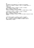**[G]**

When **[Am]** two thousand **[Em]** years of your **[F]** time has gone **[Am]** by, This **[C]** song will be**[G]**gin once a**[F]**gain, **/ / / [F] / /** to a **/** bab**[G]**y's **[Am]** cry" **/ / / [Am] /**

**(continued)**

And **[F]** it **[G]** went: **[Am]** la-, la-la-**[Em]** la-, la-la-**[F]** la-, la-la-**[Am]** la- **[C]** La-, la-la-**[G]** la-, la-la-**[F]** la- **/ / [G] [Am]** La-, la-la-**[Em]** la-, la-la-**[F]** la-, la-la-**[Am]** la-This **[C]** song will be**[G]**gin once a**[F]**gain **/ / / [F] /** to a bab**[G]**y's **[Am]** cry **/ / / [Am] /**

And **[F]** it **[G]** went: **[Am]** la-, la-la-**[Em]** la-, la-la-**[F]** la-, la-la-**[Am]** la- **[C]** La-, la-la-**[G]** la-, la-la-**[F]** la- **/ / [G] [Am]** La-, la-la-**[Em]** la-, la-la-**[F]** la-, la-la-**[Am]** la- **[C]** Peace and good**[G]**will to all **[F]** men, **/ / / [F] /** and love **[G]** for the **[Am]** child **/ / / [Am] / / [F] [G]**

And **[F]** it **[G]** went: **[Am]** la-, la-la-**[Em]** la-, la-la-**[F]** la-, la-la-**[Am]** la- **[C]** La-, la-la-**[G]** la-, la-la-**[F]** la- **/ / [G] [Am]** La-, la-la-**[Em]** la-, la-la- **[F]** la-, la-la-**[Am]** la- This **[C]** song will be**[G]**gin once a**[F]**gain **/ / / [F] /** to a bab**[G]**y's **[Am]** cry **/ / / [Am] / /**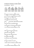#### **All I Want for Christmas is Another Ukulele**

by Pat McInnis Key of C



C A7 All I want for Christmas is another ukulele D7 G7 C In my Christmas stocking hanging on the wall C A7 Just last year I got a couple CDs D7 G7 Some underwear and that was all C/ C7/ Now I' ve got nothin' 'gainst brand new clothes F / F And I love music as everybody knows C A7 And all I want for Christmas is another ukulele D7 G7 C In my Christmas stocking hanging on a wall

C A7 When I was a kid I had a Lionel train, D7 G7 C Would roll 'round on the floor. C A7 Had a lot of track, had a lot of cars, D7 G7 But I always wanted more C / C7/ Oh now that I'm old, no more trains,  $F /$  F But I got a-ukuleles on my brain C A7 And all I want for Christmas is another ukulele D7 G7 C In my Christmas stocking hanging on a wall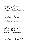C A7 Now some might say I got enough ukuleles D7 G7 C And I really don't need no more A7 D7 G7 But eBay calls and I gotta bid, can't stop at three or four C/ C/ There's a great ukulele that I find F / F I gotta make that ukulele mine C A7 And all I want for Christmas is another ukulele D7 G7 C In my Christmas stocking hanging on a wall

C A7 Now I gotta admit I got a lotta ukuleles D7 G7 C Some of them are really neat A7 I gotta couple Kamakas, a Martin with a hole, D7 G7 And a pineapple won't be beat C / C7/ But who's to say can't have any more,  $F /$  F Let's go down a-ukulele store C A7 And all I want for Christmas is another ukulele D7 G7 C In my Christmas stocking hanging on a wall C A7 Yes, all I want for Christmas is another ukulele D7 G7 C/ G7/ C/

In my Christmas stocking hanging on a wall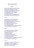## Auld Lang Syne"

#### **Verse 1:**

Should [C]old acquaintance [G7]be forgot And [C]never [C7]brought to [F]mind Should [C]old acquaintance [G7]be forgot And [F]days of [G7]auld lang [C]syne For [C]auld lang [G7]syne, my dear, For [C]auld lang [F]syne, We'll [C]take a cup o' [G7]kindness [E7]yet And [Am]days of [F]auld [G7]lang [C]syne

Verse 2:

We  $[C]$ twa hae run a $[G7]$ boot the braes And [C]pu'd the [C7]gowans [F]fine. We've [C]wandered mony a [G7]weary foot, Sin' [F]auld la-[G7]ang [C]syne Sin' [C]auld lang [G7]syne, my dear, Sin' [C]auld lang [F]syne, We've [C]wandered mony a [G7]weary [E7]foot, Sin' [Am]auld [F]la-[G7]ang [C]syne

Verse 3:

```
We [C]twa hae sported [G7] the burn,
From [C]morning [C7]sun till [F]dine,
But [C]seas between us 
[G7]braid hae roared
Sin' [F]auld la-[G7]ang [C]syne
Sin' [C]auld lang [G7] syne, my dear,
Sin' [C]auld lang [F]syne.
But [C]seas between us [G7]braid hae [E7]roared 
Sin' [Am]auld [F]la-[G7]ang [C]syne
```
Verse 4:

And [C]ther's a hand, my [G7]trusty friend, And [C]gie's a [C7]hand o' [F]thine; We'll [C]take a cup o' [G7]kindness yet For [F]auld la-[G7]ang [C]syne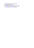For [C]auld lang [G7]syne, my dear, For [C]auld lang [F]syne, We'll [C]take a cup o' [G7]kindness [E7]yet For [Am]auld [F]la-[G7]ang [C]syne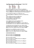## Do They know It's Christmas? - Band Aid



**C)** It's Christmas **(F)** time, there's no need to be **(C)**afraid. At Christmas **(F)** time, we let in light and we **(C)** banish shade. And in our **(Dm)** world of **(G)** plenty we can **(C)** spread a smile of **(F)** joy, Throw your **(Dm)** arms around the **(G)** world at Christmas **(C)** time.

But say a **(F)** prayer; **(G)** pray for the **(C)** other ones, At Christmas **(F)** time, it's **(G)** hard, but when you're **(C)** having fun There's a **(F)** world outside your **(G)** window,

And it's a **(C)** world of dread and **(F)** fear, Where the **(Dm)** only water **(G)** flowing is

The **(C)** bitter sting of **(F)** tears.

And the **(Dm)** Christmas bells that **(G)** ring there Are the **(C)** clanging chimes of **(F)** doom. Well, **(Dm)** tonight thank God it's **(G)** them, instead of **(C)** you. And there **(F)** won't be snow in **(G)** Africa this **(C)** Christmas time.

The **(F)** greatest gift they'll **(G)** get this year is **(C)** life. **(C7)**  Where **(F)** nothing ever **(G)** grows, no **(C)** rain nor rivers **(F)**flow, **(Dm)** Do they know it's **(G)** Christmas time at **(C)** all? **(F)(C)**

**(Am)** Here's to you; **(G)** Raise a glass for everyone. **(Am)** Here's to them; **(G)** Underneath that burning sun **(Dm)** Do they know it's **(G)** Christmas time at **(C)** all? **(F)(C)** 

## **(C)(F)(C)(F)(C)(Dm)(G) x2**

**(C)** Feed the **(F)** world! **(C)(F)(C)Dm)(G)**

- **(C)** Feed the **(F)** world! **(C)(F)(C)Dm)(G)**
- **(C)** Feed the **(F)** world! **(C)**
- **(F)** Let them **(C)** know it's **(Dm)** Christmas time **(G)**again!
- **(C)** Feed the **(F)** world! **(C)**
- **(F)** Let them **(C)** know it's **(Dm)** Christmas time **(G)**again!
- **(C)** Feed the **(F)** world! **(C)**
- **(F)** Let them **(C)** know it's **(Dm)** Christmas time **(G)**again!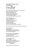## Fairytale of New York The Pouges

|   |   |   | $\sim$ |    |
|---|---|---|--------|----|
| Α | D | G | Asus4  | Вm |
|   |   |   |        |    |

 $[A^*]$  It was Christmas  $[D^*]$  Eve babe, In the  $[G^*]$  drunk tank An old man [D\*] said to me, Won't see [A\*] another one And then he [D\*] sang a song The Rare Old [G\*] Mountain Dew I turned my [D\*] face away And [Asus4\*] dreamed [D\*] about [A\*] you

Got on a [D\*] lucky one Came in eigh[G\*] teen to one I've got a [D\*] feeling This year's for [A\*] me and you So happy [D\*] Christmas I love you [G\*] baby I can see a [D\*] better time When all our [Asus4] dreams come [D] true

[D,2,3] [D,2,3] [D,2,3] [A,2,3] [D,2,3] [G,2,3] [A,2,3] [D,2,3]

They've got [D] cars Big as [A] bars They've got [Bm] rivers of [G] gold But the [D] wind goes right through you It's no place for the [A] old

When you [D] first took my [Bm] hand On a [D] cold Christmas [G] Eve You [D] promised me Broadway was [A] waiting for [D] me

You were [D] handsome You were pretty Queen of New York [A] City When the [D] band finished [G] playing They [A] howled out for [D] more [D] Sinatra was swinging (Continued)

All the drunks they were [A] singing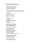We [D] kissed on the [G] corner Then [A] danced through the [D] night

The [G] boys of the NYPD choir Were [D] singing 'Galway [Bm] Bay' And the [D] bells are [G] ringing [A] Out for Christmas [D] day

[D,2,3] [A,2,3] [Bm,2,3] [G,2,3] [D,2,3] [D,2,3] [D,2,3] [A,2,3] [D,2,3] [Bm,2,3] [D,2,3] [G,2,3] [D,2,3] [D,2,3] [A,2,3.] [D,2,3]

You're a [D] bum You're a punk You're an old slut on [A] junk Living [D] there almost [G] dead On a [A] drip in that [D] bed

You [D] scum bag You maggot You cheap lousy [A] faggot Happy [D] Christmas you [G]farce I pray [A] God It's our [D] last

The [G] boys of the NYPD choir Still [D] singing 'Galway [Bm] Bay' And the [D] bells are [G] ringing [A] Out for Christmas [D] day

I could have [D\*] been someone Well, so could [G\*] anyone You took my [D\*] dreams From me when I first [A\*] found you I kept them [D\*] with me babe I put them [G\*] with my own Can't make it all [D\*] alone I've built my [G\*] dreams [A\*] around [D\*] you

The [G] boys of the NYPD choir Were [D] singing 'Galway [Bm] Bay' And the [D\*] bells are ringing Out for Christmas [D\*] day

[D] [G] [D] [A] [D] [G] [D] [G] [A] [D] [G] [D] [A] [D] [G] [D] [G] [A]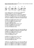**Happy Christmas [War Is Over]** [John Lennon / Yoko Ono] Plastic Ono Band



So this is **[G]** Christmas, and what have you **[Am]** done? Another year **[D]** over, a new one just **[G]** begun. And **[G7]** so this is **[C]** Christmas, I hope you have **[Dm]** fun The near and the **[G]** dear ones, the old and the **[C]** young. A **[C7]** merry, merry **[F]** Christmas, and a happy New **[G]** Year Let's hope it's a **[Dm]** good one **[F]** without any **[C]** fears. **[D]**

And **[D7]** so this is **[G]** Christmas, *[War is over]*  For weak and for **[Am]** strong. *[If you want it]*  The rich and the **[D]** poor ones *[War is over]*  The road is so **[G]** long. *[Now]* And **[G7]** so happy **[C]** Christmas, *[War is over]*  For black and for **[Dm]** white. *[If you want it]*  For yellow and **[G]** red ones, *[War is over]* Let's stop all the **[C]** fights. *[Now]*

A **[C7]** merry, merry **[F]** Christmas, and a happy New **[G]** Year Let's hope it's a **[Dm]** good one **[F]** without any **[C]** fears. **[D]**  And **[D7]** so this is **[G]** Christmas, *[War is over]* And what have we **[Am]** done? *[If you want it]* Another year **[D]** over, *[War is over]* A new one just **[G]** begun. *[Now]*

And **[G7]** so this is **[C]** Christmas, *[War is over]* We hope you have **[Dm]** fun *[If you want it]* The near and the **[G]** dear ones, *[War is over]* The old and the **[C]** young. *[Now]*

A **[C7]** merry, merry **[F]** Christmas, and a happy New **[G]** Year Let's hope it's a **[Dm]** good one **[F]** without any **[C]** fears. **[D] [G]** War is over, **[Am]** if you want it. **[D]** War is over, **[G]** now... **[G]** War is over, **[Am]** if you want it. **[D]** War is over,**[G]** now...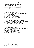## I Wish It Could Be Christmas Everyday Roy Wood

| Αm | G |                                                          | l )m | Bb |  |
|----|---|----------------------------------------------------------|------|----|--|
| n  |   | <del>\†&amp;&amp;&amp;&amp;</del> & <del>&amp;\*</del> + |      |    |  |

Oh when the [C] snowman brings the snow

Oh well he [F] just might like to know

He's put a [C] great big smile up- [Am] -on somebody's face. [Dm] [G7] If you [C] jump into your bed,

Quickly [F] cover up your [D7] head,

Don't you [C] lock your door, you know that

[G] Sweet Santa Claus is on his [Bb] way. [C]

(CHORUS)

Oh [A] well I [D] wish it could be Christmas every [G] day. When the [A7] kids start singing and the band begins to play. [D] [A7]

[D] Oh I wish it could be Christmas every [G] day

So let the [D] bells ring [A7] out for [G] Christmas! [D]

When we're [C] skating in the park, If the [F] storm cloud paints it dark Then your [C] rosy cheeks gonna [Am] light my merry way. [Dm] [G] Now the [C] 'frosticals' appeared And they've [F] frozen up my [D7] beard, So we'll [C] lie by the fire till the [G] Sleep simply melts them all [C] away. [D]

(CHORUS)

Oh [A] well I [D] wish it could be Christmas every [G] day. When the [A7] kids start singing and the band begins to play. [D] [A7] [D] Oh I wish it could be Christmas every [G] day So let the [D] bells ring [A7] out for [G] Christmas! [D]

When the [C] snowman brings the snow Oh well he [F] just might like to know He's put a [C] great big smile up- [Am] -on somebody's face. [Dm] [G] So if [C] santa brings the sleigh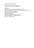All [F] along that Milky [D7] Way,

I'll sign my [C] name on the rooftop in the [G] Snow then he may decide to [Bb] stay. [C]

(CHORUS)

Oh [A] well I [D] wish it could be Christmas every [G] day. When the [A7] kids start singing and the band begins to play. [D] [A7] [D] Oh I wish it could be Christmas every [G] day So let the bells ring [A7] out for [G] Christmas! [D] Why don't you [G] give your [A] love for [G] Christmas? [D] When the [D] snowman brings the snow… ( repeat to fade )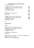## **It's Clichéd to be Cynical atChristmas**

Half Man Half Biscuit 2000

Now **[C]**how did I guess you were going to express Your dis**[F]**dain at the crane with the **[C]**bright fairy lights And you **[Am]**moan at the snow 'Cos your **[C]**car wouldn't go

#### Chorus:

Oh it's **[G]**clichéd to be **[F]**cynical At **[C]**Christmas

You **[C]**don't have a tree and your smile has a fee All the **[F]**same, here's a card for your **[C]**boring facade Jingle **[Am]**Bells, piney smells Allthe**[C]**boysandthegirls

#### **Chorus**

## **[G] [F] [G] [F] [C]**

#### **Chorus**

**[C]**See how we yawn at your bile and your scorn It's a **[F]**beautiful day, Peace on **[C]**Earth has been played Make a **[Am]**noise with your toys And ig**[C]**nore the killjoys

Oh it's **[G]**clichéd to be **[F]**cynical At **[C]**Christmas

I **[C]**saw three ships come sailing in, come sailing in, come **[G]**sailing in I **[C]saw three ships come sailing in** On **[F]**Christmas Day in the **[G]**mor**[C]**ning





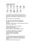

[C] Jingle-bell, [Cmaj7] jingle-bell, [C6] jingle-bell rock Jingle-bells [C#dim] swing and [Dm] jingle-bells [G7] ring [Dm] Snowin' and [G7] blowin' up [Dm] bushels of [G7] fun

Now the jingle hop has [Dm] be[G7] gun

[C]J ingle-bell, [Cmaj7] jingle-bell, [C6] jingle-bell rock Jingle-bells [C#dim] chime in [Dm]jingle-bell [G7] time

[Dm] Dancin' and [G7] prancin' in [Dm] Jingle Bell [G7] Square [D7] In the [G7] frosty [C] air

What a [F] bright time, it's the [Fm] right time To [C] rock the night away Jingle [F] bell time is a [D7] swell time [G7] To go glidin' in a [Dm] one-horse [G7] sleigh

[C] Giddy-up [Cmaj7] jingle horse; [C6] pick up your feet Jingle a[Em7] round the [A7]clock [F] Mix and mingle in a [Fm] jinglin' beat [D7] That's the [G7] jingle-bell [C] rock!

[C] Jingle-bell, [Cmaj7] jingle-bell, [C6] jingle-bell rock Jingle-bells [C#dim] swing and [Dm] jingle-bells [G7] ring [Dm] Snowin' and [G7] blowin' up [Dm] bushels of [G7] fun Now the jingle hop has [Dm] be[G7] gun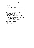(continued)

[C]J ingle-bell, [Cmaj7] jingle-bell, [C6] jingle-bell rock Jingle-bells [C#dim] chime in [Dm]jingle-bell [G7] time [Dm] Dancin' and [G7] prancin' in [Dm] Jingle Bell [G7] Square [D7] In the [G7] frosty [C] air

What a [F] bright time, it's the [Fm] right time To [C] rock the night away Jingle [F] bell time is a [D7] swell time [G7] To go glidin' in a [Dm] one-horse [G7] sleigh

[C]Giddy-up [Cmaj7] jingle horse; [C6] pick up your feet Jingle a[Em7] round the [A7]clock [F]Mix and mingle in a [Fm] jinglin' beat

[D7]That's the [G7]jingle-bell [D7]That's the [G7]jingle-bell [D7]That's the [G7]jingle-bell [C]rock!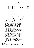

Intro: **[C] / / / [C] / / /**

Oh the **[C]** weather out**[G7]**side is **[C]** frightful But the fire is **[Adim]** so de**[G7]**lightful And **[Dm]** since we've no **[A7]** place to **[Dm]** go Let it **[F6]** snow, let it **[G7]** snow, let it **[C]** snow **/ [G7]**

Man it **[C]** doesn't show **[G7]** signs of **[C]** stopping And I brought some **[Adim]** corn for **[G7]** popping The **[Dm]** lights are turned **[A7]** way down **[Dm]** low Let it **[F6]** snow, let it **[G7]** snow, let it **[C]** snow / / /

**[C]** When we **[G]** finally **[D7]** kiss good**[G]**night How I'll **[Am]** hate going **[D7]** out in the **[G]** storm But if **[G]** you really **[D7]** hold me **[G]** tight **[A7]** All the way **[D7]** home I'll be **[G7]** warm

And the **[C]** fire is **[G7]** slowing **[C]** dying And my dear we're **[Adim]** still good**[G7]**byeing But as **[Dm]** long as you'd **[A7]** love me **[Dm]** so Let it **[F6]** snow, let it **[G7]** snow, let it **[C]** snow **/ / /**

**[C]** When we **[G]** finally **[D7]** kiss good**[G]**night How I'll **[Am]** hate going **[D7]** out in the **[G]** storm But if **[G]** you really **[D7]** hold me **[G]** tight **[A7]** All the way **[D7]** home I'll be **[G7]** warm

And the **[C]** fire is **[G7]** slowly **[C]** dying And my dear we're **[Adim]** still good**[G7]**byeing But as **[Dm]** long as you **[A7]** love me **[Dm]** so **/ /**

(*slowing down*)

Let it **[F6]** snow, let it **[G7]** snow, let it **[C↓]** snow **[G7↓] [C↓]**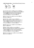#### **Little Drummer Boy** Simone/Davis/Onorati) Various



[G] Come they told me, pa **[C]** rum pum pum **[G]** pum **[G]** A new born King to see, pa **[C]** rum pum pum **[G]** pum Our finest **[D]** gifts we bring, pa rum pum pum pum To lay be**[G]**fore the King, pa rum pa pum **[C]** pum Rum pa pum **[G]** pum, rum pa pum **[D]** pum

**[G]** So to honour Him, pa **[C]** rum pum pum **[G]** pum **[C]** When we **[G]** come

**[G]** Little Baby, pa **[C]** rum pum pum **[G]** pum **[G]** I am a poor boy too, pa **[C]** rum pum pum **[G]** pum I have no **[D]** gift to bring, pa rum pa pum pum That's fit to **[G]** give the King, pa rum pa pum **[C]** pum, Rum pa pum **[G]** pum, rum pa pum **[D]** pum

**[G]** Shall I play for you, pa **[C]** rum pa pum **[G]** pum **[C]** On my **[G]** drum?

**[G]** Mary nodded, pa **[C]** rum pa pum **[G]** pum **[G]** The ox and lamb kept time, pa **[C]** rum pa pum **[G]** pum I played my **[D]** drum for Him, pa rum pa pum pum I played my **[G]** best for Him, pa rum pa pum **[C]** pum Rum pa pum **[G]** pum, rum pa pum **[D]** pum

**[G]** Then He smiled at me, pa **[C]** rum pa pum **[G]** pum **[C]** Me and my **[G]** drum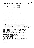

Intro: [G] / [Em] / [C] / [D7] / [G] / [Em] / [C] / [D7] /

**[G]** Try to ima**[Em]**gine a **[C]** house that's not a **[D7]** home **[G]** Try to ima**[Em]**gine a **[C]** Christmas all a**[D7]**lone **[G]** That's where I'll be since you **[Em]** left me My **[C]** tears could melt the **[D]** snow What can **[G]** I do with**[Em]**out you? I've got **[C]** no place, no place to **[D7]** go

It'll be **[G]** lonely this **[Em]** Christmas with**[C]**out you to **[D7]** hold It'll be **[G]** lonely this **[Em]** Christmas, **[C]** lonely and **[D7]** cold It'll be **[G]** cold, so **[Em]** cold With**[C]**out you to **[D7]** hold this **[G]** Christmas **[C] / [G] / [D7] /**

Each **[G]** time I re**[Em]**member the **[C]** day you went a**[D7]**way And **[G]** how I would **[Em]** listen to the **[C]** things you had to **[D7]** say I just **[G]** break down as I **[Em]** look around, and the **[C]** only things I **[D7]** see Are **[G]** emptiness and **[Em]** loneliness, and an **[C]** unlit Christmas **[D7]** tree

It'll be **[G]** lonely this **[Em]** Christmas with**[C]**out you to **[D7]** hold It'll be **[G]** lonely this **[Em]** Christmas, **[C]** lonely and **[D7]** cold It'll be **[G]** cold, so **[Em]** cold With**[C]**out you to **[D7]** hold this **[G]** Christmas **[C] / [G] / [D7] /**

#### **Spoken whilst playing verse chords:**

Do you remember last year when you and I were together?

We never thought there'd be an end

And I remember looking at you darlin'

And I remember thinking that Christmas must have been made for us 'Cause darlin' this is the time of year, when you really, really need love When it means so very much

(continued)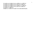It'll be **[G]** lonely this **[Em]** Christmas with**[C]**out you to **[D7]** hold It'll be **[G]** lonely this **[Em]** Christmas, **[C]** lonely and **[D7]** cold It'll be **[G]** lonely this **[Em]** Christmas with**[C]**out you to **[D7]** hold It'll be **[G]** lonely this **[Em]** Christmas, **[C]** lonely and **[D7]** cold It'll be **[G]** cold, so **[Em]** cold With**[C]**out you to **[D7]** hold this **[G]** Christmas **[C] / [G] / [D7↓] [G↓]**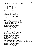



**[G]l**ong time ago in **[C]** Bethlehem **[Am]** So the **[D]** Holy Bible **[G]** say Mary's boy-child, **[C]** Jesus **[Am]** Christ Was **[G]** born on **[D]** Christmas **[G]** Day

Hark now! **[C]** Hear the **[D]** angels **[G]** sing, A **[Em]** king was **[Am]** born to**[D]**day And **[G]** man will live for**[C]**ever **[Am]** more Be**[G]**cause of **[D]** Christmas **[G]** day

**[G]** While shepherds watch their **[C]** flocks by **[Am]**  night They see a **[D]** bright new shining **[G]** star They hear a choir **[C]** sing a **[Am]** song the music **[G]** seemed to **[D]** come from **[G]** afar

Hark now! **[C]** Hear the **[D]** angels **[G]** sing A **[Em]** king was **[Am]** born to**[D]**day And **[G]** man will live for**[C]**ever **[Am]** more **[G]** Because of **[D]** Christmas **[G]** day

**[G]** Now Joseph and his **[C]** wife **[Am]** Mary Came to **[D]** Bethlehem that **[G]** night They found no place to **[C]** bear the **[Am]** child Not a **[G]** single **[D]** room was in **[G]** sight

Hark now! **[C]** Hear the **[D]** angels **[G]** sing A **[Em]** king was **[Am]** born to**[D]**day And **[G]** man will live for**[C]**ever **[Am]** more **[G]** Because of **[D]** Christmas **[G]** day

**[G]** By and by they found a **[C]** little **[Am]** nook in a **[D]** stable all for**[G]**lorn And in a manger **[C]** cold and **[Am]** dark, Mary's **[G]** little **[D]** boy was **[G]** born

Hark now! **[C]** Hear the **[D]** angels **[G]** sing A **[Em]** king was **[Am]** born to**[D]**day And **[G]** man will live for**[C]**ever **[Am]** more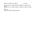**[G]** Because of **[D]** Christmas **[G]** day (continued)

Trumpets **[C]** sound and **[D]** angels **[G]** sing, **[Em]** listen to **[Am]** what they **[D]** say

That **[G]** man will live for**[C]**ever **[Am]** more be**[G]**cause of **[D]** Christmas **[G]** day

(Slow down) **[G]** Because of **[D↓]** Christ**[D↓]**mas **[G↓]** day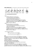#### **Mele Malikimaka** (RA Anderson) Bing Crosby and the Andrews sisters



#### Intro: **[C] [A] [Dm] [G7] [C] [G7]**

#### **Boys:**

**[C]** Mele Kalikimaka is the thing to say On a bright Hawaiian Christmas **[G7]** Day That's the island greeting that we send to you from the land where palm trees **[C]** sway **[C7]** Here we know that Christmas will be **[F]** green and bright The **[A7]** sun to shine by day and all the **[D7]** stars at **[G7]** night **[C]** Mele Kalikimaka is Hawaii's **[A7]** way to **[Dm]** say Merry **[G7]** Christmas to **[C]** you

#### **Girls:**

**[C]** Mele Kalikimaka is the thing to say On a bright Hawaiian Christmas **[G7]** Day That's the island greeting that we send to you from the land where palm trees **[C]** sway **[C7]** Here we know that Christmas will be **[F]** green and bright The **[A7]** sun to shine by day and all the **[D7]** stars at **[G7]** night **[C]** Mele Kalikimaka is Hawaii's **[A7]** way to **[Dm]** say Merry **[G7]** Christmas to **[C]** you

#### Instrumental (NO SINGING)

**[C]** Mele Kalikimaka is the thing to say On a bright Hawaiian Christmas **[G7]**Day That's the island greeting that we send to you from the land where palm trees **[C]** sway

#### **All:**

**[C7]** Here we know that Christmas will be **[F]** green and bright The **[A7]** sun to shine by day and all the **[D7]** stars at **[G7]** night **[C]** Mele Kalikimaka is Hawaii's **[A7]** way to **[Dm]** say Merry **[G7]** Christmas to **[C]** you

**[C]** Mele Kalikimaka is the thing to say

On a bright Hawaiian Christmas **[G7]** Day

That's the island greeting that we send to you from the land where palm trees **[C]** sway

**[C7]** Here we know that Christmas will be **[F]** green and bright The **[A7]** sun to shine by day and all the **[D7]** stars at **[G7]** night **[C]** Mele Kalikimaka is Hawaii's **[A7]** way to **[Dm]** say Merry **[G7]** Christmas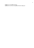A **[Dm]** very merry **[G7]** Christmas A **[Dm]** very very merry merry **[G7]** Christmas to **[C↓]** you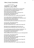## Merry Xmas Everybody Slade



Are you [G] hanging up the [Bm] stocking on the [D] wall? It's the [G] time that every [Bm] Santa has a [D] ball? Does he [C] ride a red-nosed [G] reindeer? Does a [C] ton upon his [G] sleigh? Do the [Am] fairies keep him sober for a [D] day? [D7] So here it [G] is, 'Merry [Bm] Christmas', Every-[Bb] -body's having [D] fun, [G] Look to the [Bm] future now, it's [Bb] only just begun [D] .

Are you [G] waiting for the [Bm] family to [D] arrive? Are you [G] sure you've got the [Bm] room to spare [D] inside? Does your [C] granny always [G] tell ya' That the [C] old songs are the [G] best? Then she's [Am] up and rock and rollin' with the [D] rest. [D7]

So here it [G] is, 'Merry [Bm] Christmas', Every-[Bb] -body's having [D] fun, [G] Look to the [Bm] future now, it's [Bb] only just begun [D]

[Dm] What will your daddy [Bb] do when he sees your [Dm] Mamma kissin' [Bb] Santa Claus? [C] Ah-aaa– [D] aa

Are you [G] hanging up the [Bm] stocking on the [D] wall ? Are you [G] hoping that the [Bm] snow will start to [D] fall ? Do you [C] ride on down the [G] hillside In a [C] buggy you have [G] made ? When you [Am] land upon your head then you bin' [D] slayed! [D7]

So here it [G] is, 'Merry [Bm] Christmas', Every-[Bb] -body's having [D] fun, [G] Look to the [Bm] future now, it's [Bb] only just begun [D] So here it [G] is, 'Merry [Bm] Christmas', Every-[Bb] -body's having [D] fun, [G] Look to the [Bm] future now, it's [Bb] only just begun [D] So here it [G] is, 'Merry [Bm] Christmas', Every-[Bb] -body's having [D] fun, [G] Look to the [Bm] future now, it's [Bb] only just begun [D]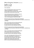## Merry Christmas, Everyone Shakin'Stevens

| G | D | C | Em |
|---|---|---|----|
|   |   |   |    |

Intro: [G] [D] [G]

Snow is [G] falling [D] all a-[Em]-round me [C] Children [G] playing [C], having G] fun. It's the season of love and under- [Em] -standing, [C] Merry [G] Christmas [D] everyone! [G]

Time for [G] parties [D] and celeb-[Em]-ration [C] People [G] dancing [C] all night [G] long Time for presents and exchanging [Em] kisses [C] Time for [G] singing [D] Christmas [G] songs.

[Em] We're gonna [C] have a [G] party [D] tonight [Em] I'm gonna [C] find that girl,[G] Underneath the misteltoe, and [D] kiss by candlelight

Room is [G] swaying, [D] records [Em] playing [C] All the [G] old songs, [C] love to [G] hear. Oh I wish that every day was [Em] Christmas [C] What a [G] nice way to [D] spend a [G] year.

[Em] We're gonna [C] have a [G] party [D] tonight [Em] I'm gonna [C] find that girl,[G] Underneath the misteltoe, and [D] kiss by candlelight

Room is [G] swaying, [D] records [Em] playing [C] All the [G] old songs, [C] love to [G] hear. Oh I wish that every day was [Em] Christmas [C] What a [G] nice way to [D] spend a [G] year.

Ooo, snow is [G] falling [D] all a-[Em]-round me [C] Children [G] playing [C], having [G] fun. It's the season love and under- [Em] -standing, [C] Merry [G] Christmas [D] everyone! [G] [C]Merry [G] Christmas [D] everyone! [G] [C] Oh, merry [G] Christmas [D] everyone! [G]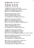Mistletoe & Wine—Cliff Richard

| G | Em | D | Γ. | D7 |
|---|----|---|----|----|
|   |    |   |    |    |

The **(G)** child is a king, the carollers sing,

The **(Em)** old has passed, there's a **(D)** new beginning.

**(C)** Dreams of Santa, **(G)** dreams of snow,

**(A)** Fingers numb, **(D)** faces **(D7)**aglow, it's…

**(G)** Christmas time, mistletoe and wine, Children singing **(D)** Christian rhyme. With logs on the fire and gifts on the tree, A time to **(D7)** rejoice in the **(G)** good that wesee.

A **(G)** time for living, a time for believing A **(Em)** time for trusting **(D)** not deceiving **(C)** Love and laughter and **(G)** joy ever after, **(A)** Ours for the taking, just **(D)** follow the **(D7)**master, it's…

**(G)** Christmas time, mistletoe and wine, Children singing **(D)** Christian rhyme. With logs on the fire and gifts on the tree, A time to **(D7)** rejoice in the **(G)** good that wesee.

It's a **(G)** time for giving, a time for getting, A **(Em)** time for forgiving **(D)** and for forgetting **(C)** Christmas is love **(G)** Christmas is peace **(A)** A time for hating and **(D)**fighting to **(D7)** cease. ( Hold for 4 beats )

**(G)** Christmas time (*silent night)*, mistletoe and wine, (*holy night!* ) Children singing **(D)** Christian rhyme. With logs on the fire and gifts on the tree, A time to **(D7)** rejoice in the **(G)** good that wesee.

**(G)** Christmas time, ( *Christmas time* ) mistletoe and wine, Children singing **(D)** Christian rhyme. With logs on the fire and gifts on the tree, A time to **(D7)** rejoice in the **(G)** good that wesee.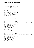### **Rockin' Around the Christmas Tree**

# **Brenda Lee** G E7 C D Bm Em A7

[G] [E7] [C] [D]

[G] Rocking around the Christmas Tree at the [D] Christmas party hop Mistletoe hung where you can see Ev'ry couple tries to stop [G]

Rocking around the Christmas Tree Let the [D] Christmas Spirit ring Later we'll have some pumpkin pie and we'll do some [G] caroling

[C] You will get a sentimental [Bm] feeling when you hear [Em] voices singing "Let's be jolly; [A7\*] Deck the halls with [D] boughs of holly"

[G] Rocking around the Christmas Tree Have a [D] happy holiday Everyone's dancing merrily In a new old fashioned [G] way

[G] Rocking around the Christmas Tree Let the [D] Christmas Spirit ring Later we'll have some pumpkin pie and we'll do some [G] caroling

[C] You will get a sentimental [Bm] feeling when you hear [Em] voices singing "Let's be jolly; [A7\*] Deck the halls with [D] boughs of holly"

[G] Rocking around the Christmas Tree Have a [D] happy holiday Everyone's dancing merrily In a new old fashioned [G] way [D] Everyone's dancing merrily In a new old fashioned [G] way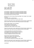## Rockin' Robin The Jackson 5



[G] Tweedely, tweedley-dee [C] tweedely, [D] deedely-deedely

[G] Tweedely, tweedley-dee [C] tweedely, [D] deedely-deedely

[G] Tweedely, tweedley-dee [C] tweedely, [D] deedely-deedely

[G] Tweet [G] tweet [G\*] tweet [G\*] tweet.

[G] He rocks in the tree-tops all day long Hoppin' and a boppin' and a-singin' his song

All the little birds on Jaybird Street

Love to hear the robin goin' [G7] tweet, tweet, tweet.

Rockin' [C] robin (tweet, tweet, tweet) Rockin' [G] robin (tweet, tweedely-dee) [D] Go rockin' robin cause we're [C] really gonna [D] rock [G] tonight.

[G] Every little swallow, every chickadee Every little bird in the tall oak tree The wise old owl, the big black crow Flapping their wings, singin' [G7] go, bird, go.

Rockin' [C] robin (tweet, tweet, tweet) Rockin' [G] robin (tweet, tweedely-dee) [D] Go rockin' robin cause we're [C] really gonna [D] rock [G] tonight.

The [C] pretty little raven at the bird's first dance [G] Taught him how to do the bop and it was grand He [C] started goin' steady and bless my soul He [D] out bopped the buzzard and the oriole.

[G] He rocks in the tree-tops all day long Hoppin' and a boppin' and a-singin' his song All the little birds on Jaybird Street Love to hear the robin goin' [G7] tweet, tweet, tweet.

Rockin' [C] robin (tweet, tweet, tweet) Rockin' [G] robin (tweet, tweedely-dee) [D] Go rockin' robin cause we're [C] really gonna [D] rock [G] tonight.

(continued)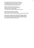The [C] pretty little raven at the bird's first dance [G] Taught him how to do the bop and it was grand He [C] started goin' steady and bless my soul He [D] out bopped the buzzard and the oriole.

[G] He rocks in the tree-tops all day long Hoppin' and a boppin' and a-singin' his song All the little birds on Jaybird Street Love to hear the robin goin' [G7] tweet, tweet, tweet.

Rockin' [C] robin (tweet, tweet, tweet) Rockin' [G] robin (tweet, tweedely-dee) [D] Go rockin' robin cause we're [C] really gonna [D] rock [G] tonight.

[G] Tweedely, tweedley-dee [C] tweedely, [D] deedely-deedely

[G] Tweedely, tweedley-dee [C] tweedely, [D] deedely-deedely

[G] Tweedely, tweedley-dee [C] tweedely, [D] deedely-deedely

[G] Tweet [G] tweet [G\*] tweet [G\*] tweet.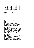#### Silent night {Mohr R Gruber]



#### **[G] / / [G] / /**

- **[G]** Silent night, holy night
- **[D]** All is **[D7]** calm, **[G]** all is **[G7]** bright
- **[C]** Round yon virgin, **[G]** mother and **[G7]** child
- **[C]** Holy infant so **[G]** tender and mild
- **[D]** Sleep in **[D7]** heavenly **[G]** pe**[Em]**ace
- **[G]** Sleep in **[D7]** heavenly **[G]** peace
- **[G]** Silent night, holy night
- **[D]** Shepherds **[D7]** quake **[G]** at the **[G7]** sight
- **[C]** Glories stream from **[G]** heaven **[G7]** afar
- **[C]** Heavenly hosts sing **[G]** alleluia
- **[D]** Christ the **[D7]** saviour is **[G]** bo**[Em]**orn
- **[G]** Christ the **[D7]** saviour is **[G]** born

**[G]** Silent night, holy night

- **[D]** Son of **[D7]** God, **[G]** love's pure **[G7]** light
- **[C]** Radiant beams from **[G]** thy holy **[G7]** face,
- **[C]** With the dawn of **[G]** redeeming grace
- **[D]** Jesus **[D7]** Lord at thy **[G]** birth **[Em]**
- **[G]** Jesus **[D7]** Lord at thy **[G]** birth
- **[G]** Silent night, holy night
- **[D]** Wondrous **[D7]** star, **[G]** lend thy **[G7]** light
- **[C]** With the angels **[G]** let us **[G7]** sing
- **[C]** Alleluia **[G]** to our King
- **[D]** Christ the **[D7]** saviour is **[G]** he**[Em]**ear
- **[G]** Christ the **[D7]** saviour is **[G]** born / / **[G↓]**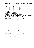**Silver Bells** [Jay Livingston & Ray Evans] Bing Crosby and Carol Richards 3 / 4 Time



Intro: **[G] x 2**

**[G]** City sidewalks busy **[G7]** sidewalks Dressed in **[C]** holiday **[Am]** style In the **[D7]** air there's a feeling of **[G]** Christmas **[D]** Children **[G]** laughing people **[G7]** passing meeting **[C]** smile after **[A]** smile And on **[D7]** every street corner you'll **[G]** hear **[D7]**

**[G]** Silver bells [silver bells] **[C]** silver bells [silver bells] **[D7]** It's Christmas time in the **[G]** city **[D] [G]** Ring-a-ling [ring a ling] **[C]** hear them ring [hear them ring]

**[D7]** Soon it will be Christmas **[G]** day **[D7]**

Strings of **[G]** street lights even **[G7]** stop

lights Blink a **[C]** bright red and **[Am]** green

As the **[D7]** shoppers rush home with their **[G]** treasures **[D]**

Hear the **[G]** snow crunch see the **[G7]** kids bunch this is **[C]** Santa's big **[A]** scene

And a**[D7]**bove all this bustle you'll **[G]** hear **[D7]**

**[G]** Silver bells [silver bells] **[C]** silver bells [silver bells] **[D7]** It's Christmas time in the **[G]** city **[D] [G]** Ring-a-ling [ring a ling] **[C]** hear them ring [hear them ring] **[D7]** Soon it will be Christmas **[G]** day **[D7]** Soon it will be Christmas **[G]** day **[D7]** Soon it will be Christmas **[C]** day / / / **[C] / [G∫]**

**∫** = arpeggio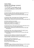## Santa Baby Eartha Kitt (Winger version) CHORDS USED IN THIS SONG<br>C A7 Dm G C A7 Dm G G7 <u>C7</u> E7 A D



[C] [A7] [Dm] [G] x2

[C] Santa [A7] baby, [Dm] slip a sable [G7] under the [C] tree for me, [A7] For me. [Dm] I've be en an [G7] awful good [C] girl.

Santa [A7] baby, and [Dm] hurry down the [G7] chimney to[C] night. [A7] [Dm] [G7]

[C] Santa [A7] baby, a [Dm] baby Aston [G7] Martin please [C] too, Light [A7] blue , [Dm] I'll w ait [G7] up for you [C] dear. Santa [A7] baby, and [Dm] hurry down the [G7] chimney to[C] night. [C7]

[E7] Think of all the fun I've missed,

[A] Think of all the fellas that I haven't kissed.

[D] Next year I could be , oh , so good,

If [G] you'd check off my [G7] Christmas list

[C] Santa [A7] honey, I [Dm] wanna yacht and [G7] really that's [C] not A [A7] lot, [Dm] I've be en an [G7] angel all [C] year. Santa [A7] baby, and [Dm] hurry down the [G7] chimney to[C] night. [A7] [Dm] [G7]

[C] Santa [A7] cutie, there 's [Dm] one thing I [G7] really [C] need, The [A7] deed, [Dm] To a [G7] platinum [C] mine. Santa [A7] baby, and [Dm] hurry down the [G7] chimney to[C] night. A7] [Dm] [G7]

[C] Santa [A7] baby, fill [Dm] my stocking [G7] with a Ro[C] lex And [A7] cheques . [Dm] Sign your [G7] 'X' on the [C] line . Santa [A7] baby, and [Dm] hurry down the [G7] chimney to[C] night [C7]

[E7] Come and fill my Christmas sack ,

[A] With designer items bought from TK Maxx.

[D] I really do believe in you

[G] Let's see if you [G7] believe in me.

(continued)

[C] Santa [A7] baby, the [Dm] one thing [G7] that you can't [C] overlook , A [A7] uke , So [Dm] I can [G7] strum you a [C] song Santa [A7] baby, and [Dm] hurry down the [G7] chimney to[C] night.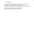[A7] [Dm] [G7]

[C] Santa [A7] baby, for[Dm]]got to mention [G7] one little [C] thing, A [A7] ring. I [Dm] don't [G7] mean on the [C] phone Santa [A7] baby, and [Dm] hurry down the [G7] chimney to[C] night [A7]

[Dm] Hurry down the [G7] chimney to[C] night [A7] [Dm] Hurry down the [G7] chimney to[C\*] night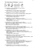**The Twelve days of Christmas** (Traditional)



On the **[C] first** day of Christmas my **[G]** true love gave to **[C]** me : A partridge in a **[G]** pear **[C]** tree.

- On the **[C] second** day of Christmas my **[G]** true love gave to **[C]** me : **[G]** Two turtle-doves and a **[C]** partridge in a **[G]** pear **[C]** tree
- On the **[C] third** day of Christmas my **[G]** true love gave to **[C]** me : **[G]** Three French hens, two turtle-doves and a **[C]** Partridge in a **[G]** pear **[C]** tree
- On the **[C] fourth** day of Christmas my **[G]** true love gave to **[C]** me : **[G]** Four calling birds, three French hens, two turtle-doves And a **[C]** Partridge in a **[G]** pear **[C]** tree
- On the **[C] fifth** day of Christmas my **[G]** true love gave to **[C]** me : **[Em]** Five **[D]** golden **[G]** rings… **[G7], [C]** Four calling birds, **[F]** three French hens **[G]** two turtle-doves, And a **[C]** partridge in a **[G]** pear **[C]** tree
- On the **[C] sixth** day of Christmas my **[G]** true love gave to **[C]** me : **[G]** Six geese-a-laying, **[Em]** Five **[D]** golden **[G]** rings… **[G7], [C]** Four calling birds **[F]** three French hens, **[G]** two turtle-doves,
	- **[G]** And a **[C]** partridge in a **[G]** pear **[C]** tree
- On the **[C] seventh** day of Christmas my **[G]** true love gave to **[C]** me : **[H]** Seven swans-a-swimming, six geese-a-laying **[Em]** Five **[D]** golden **[G]** rings…**[G7] [C]** Four calling birds, **[F]** three French hens, **[G]** two turtle-doves And a **[C]** partridge in a **[G]** pear **[C]** tree
- On the **[C] eighth** day of Christmas my **[G]** true love gave to **[C]** me : **[G]** Eight maids-a-milking, Seven swans-a-swimming, six geese-a-laying **[Em]** Five **[D]** golden **[G]** rings… **[G7], [C]** Four calling birds, **[F]** three French hens **[G]** two turtle-doves, And a **[C]** partridge in a **[G]** pear **[C]** tree

On the **[C] ninth** day of Christmas my **[G]** true love gave to **[C]** me : **[G]** Nine ladies dancing, eight maids-a-milking, Seven swans-a-swimming, six geese-a-laying…**[Em]** Five **[D]** golden **[G]** rings… **[G7] [C]** Four calling birds, **[F]** three French hens, **[G]** two turtle-doves And a **[C]** partridge in a **[G]** pear **[C]** tree

On the **[C] tenth** day of Christmas my **[G]** true love gave to **[C]** me : **[G]** Ten Lords-a-leaping, nine ladies dancing, eight maids-a-milking, Seven swans-aswimming Six geese-a-laying…**[Em]** Five **[D]** golden **[G]** rings… **[G7], [C]** Four calling birds, **[F]** three French hens, **[G]** two turtle-doves, And a **[C]** partridge in a **[G]** pear **[C]** tree

On the **[C] eleventh** day of Christmas my **[G]** true love gave to **[C]** me : **[G]** Eleven pipers piping, ten Lords-a-leaping, nine ladies dancing, eight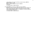maids-amilking, seven swans-a-swimming, six geese-a-laying…**[Em]** Five **[D]** golden **[G]** rings… **[G7] [C]** Four calling birds, **[F]** three French hens, **[G]** two turtle-doves, And a **[C]** partridge in a **[G]** pear **[C]** tree

On the **[C] twelfth** day of Christmas my **[G]** true love gave to **[C]** me :

**[G]** Twelve drummers drumming, eleven pipers piping, ten Lords-a-leaping, nine ladies dancing, Eight maids-a-milking, seven swans-a-swimming, six geesealaying…**[Em]** Five **[D]** golden **[G]** rings… **[G7], [C]** Four calling birds, **[F]** three French hens, **[G]** two turtle-doves And a **[C]** partridge in a **[G]** pear **[C]** tree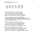

A ray of **(C)** hope **(G)** flickers in the **(C)** sky, **(F)(C)** A tiny star **(Am)** lights up way up **(G)** high, **(F)(G)** All **(F)** across the land **(G)** dawns a brand new **(Em)**morn, **(Am)** This comes to **(G)** pass when a **(Dm)** child is **(C)** born.

A silent **(C)** wish **(G)** sails the seven **(C)** seas, **(F)(C)** The winds of change **(Am)** whisper in the **(G)** trees **(F)(G)** All the **(F)**  walls of doubt **(G)** crumble tossed and **(Em)**torn, **(Am)** This comes to **(G)**  pass when a **(Dm)** child is **(C)** born.

A rosy **(C)** dawn **(G)** settles all **(C)** around, **(F)(C)** You get the feel **(Am)** you're on solid **(G)** ground **(F)(G)** For a **(F)** spell or two **(G)** no-one seems **(Em)**forlorn, **(Am)** This comes to **(G)** pass when a **(Dm)** child is **(C)** born.

It's all a **(C)** dream, **(G)** an illusion **(C)** now, **(F)(C)** It must come true **(Am)** sometime soon **(G)** somehow. **(F)(G)** All **(F)** across the land **(G)** dawns a brand new **(Em)**morn, **(Am)** This comes to **(G)** pass when a **(Dm)** child is **(C)** born. **(F)(C)**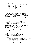#### **Winter Wonderland**

Smith and Bernard Doris day



Intro: [G7] [Dm] [G] [G7] [G6] [G] [C]

**[C]** Over the **[Cdim]** ground lies a **[F]** mantle of **[Dm]** white A heaven of **[Cdim]** diamonds shine down thro' the **[G7]** night **[C]** Two hearts are **[Cdim]** thrillin' in **[Dm]** spite of the **[G7]** chill In the **[C]** weather, **[Dm]** wea**[G7]**ther **[C]** Love knows no **[Cdim]** season **[F]** love knows no **[Dm]** clime Two hearts can **[Cdim]** blossom most **[G]** any old **[G7]** time **[C]** Out in the **[Cdim]** open we're **[Dm]** walkin' And **[G7]** hopin' to**[C]**gether, **[Dm]** two a**[G7]**lone…

Sleigh bells **[C]** ring, are you listenin', In the **[G]** lane, snow is glistening A **[G7]** beautiful **[Dm]** sight, we're **[G]** happy **[G7]** tonight **[G6]** Walking in a **[G]** winter wonder**[C]**land

Gone a**[C]**way is the blue bird, here to **[G]** stay is the new bird He **[G7]** sings a love **[Dm]** song as **[G]** we go a**[G7]**long **[G6]** Walking in a **[G]** winter wonder**[C]**land

**[E7]** In the meadow **[B7]** we can build a **[E7]** snowman Then pretend that **[B7]** he is Parson **[E7]** Brown **[G]** He'll say, "Are you **[D7]** married ?" We'll say, **[G]** "No man But **[G7]** you can do the **[D]** job when you're in **[G]** town" **[G7]**

Later **[C]** on we'll conspire, as we **[G]** dream by the fire To **[G7]** face unafr**[Dm]**aid the **[G]** plans that we **[G7]** made **[G6]** Walking in a **[G]** winter wonder**[C]**land

Instrumental:

Sleigh bells **[C]** ring, are you listenin', in the **[G]** lane, snow is glistening A **[G7]** beautiful **[Dm]** sight, we're **[G]** happy **[G7]** tonight **[G6]** Walking in a **[G]** winter wonder**[C]**land

**[E7]** In the meadow **[B7]** we can build a **[E7]** snowman Then pretend that **[B7]** he's a circus **[E7]** clown **[G]** We'll have lots of **[D7]** fun with mister **[G]** snowman Un**[G7]**til the other **[D]** kids come knock him **[G]** down **[G7]**